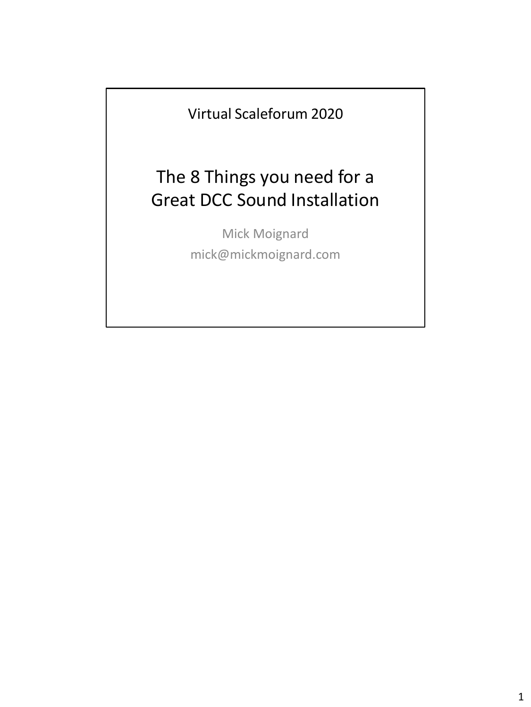Virtual Scaleforum 2020

## The 8 Things you need for a Great DCC Sound Installation

Mick Moignard mick@mickmoignard.com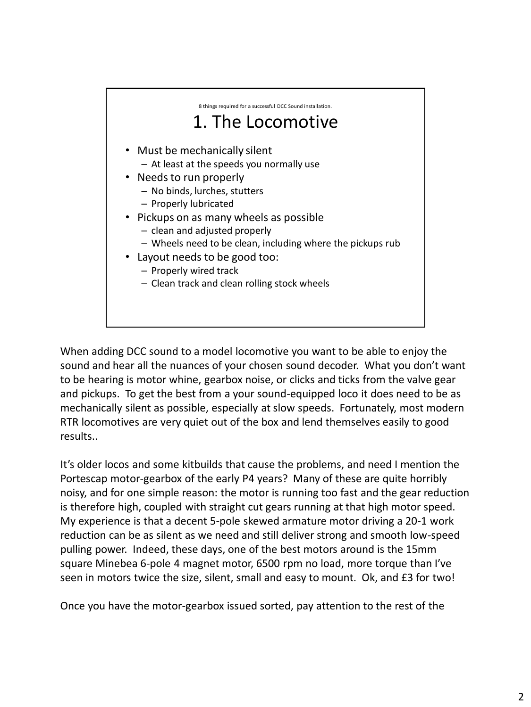

When adding DCC sound to a model locomotive you want to be able to enjoy the sound and hear all the nuances of your chosen sound decoder. What you don't want to be hearing is motor whine, gearbox noise, or clicks and ticks from the valve gear and pickups. To get the best from a your sound-equipped loco it does need to be as mechanically silent as possible, especially at slow speeds. Fortunately, most modern RTR locomotives are very quiet out of the box and lend themselves easily to good results..

It's older locos and some kitbuilds that cause the problems, and need I mention the Portescap motor-gearbox of the early P4 years? Many of these are quite horribly noisy, and for one simple reason: the motor is running too fast and the gear reduction is therefore high, coupled with straight cut gears running at that high motor speed. My experience is that a decent 5-pole skewed armature motor driving a 20-1 work reduction can be as silent as we need and still deliver strong and smooth low-speed pulling power. Indeed, these days, one of the best motors around is the 15mm square Minebea 6-pole 4 magnet motor, 6500 rpm no load, more torque than I've seen in motors twice the size, silent, small and easy to mount. Ok, and £3 for two!

Once you have the motor-gearbox issued sorted, pay attention to the rest of the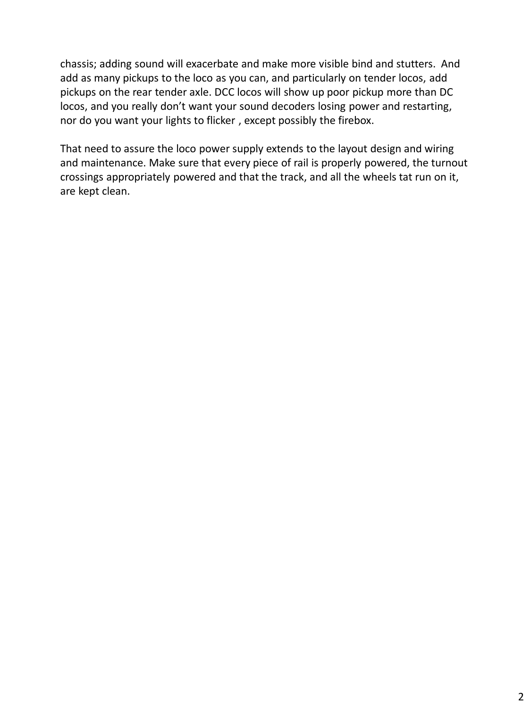chassis; adding sound will exacerbate and make more visible bind and stutters. And add as many pickups to the loco as you can, and particularly on tender locos, add pickups on the rear tender axle. DCC locos will show up poor pickup more than DC locos, and you really don't want your sound decoders losing power and restarting, nor do you want your lights to flicker , except possibly the firebox.

That need to assure the loco power supply extends to the layout design and wiring and maintenance. Make sure that every piece of rail is properly powered, the turnout crossings appropriately powered and that the track, and all the wheels tat run on it, are kept clean.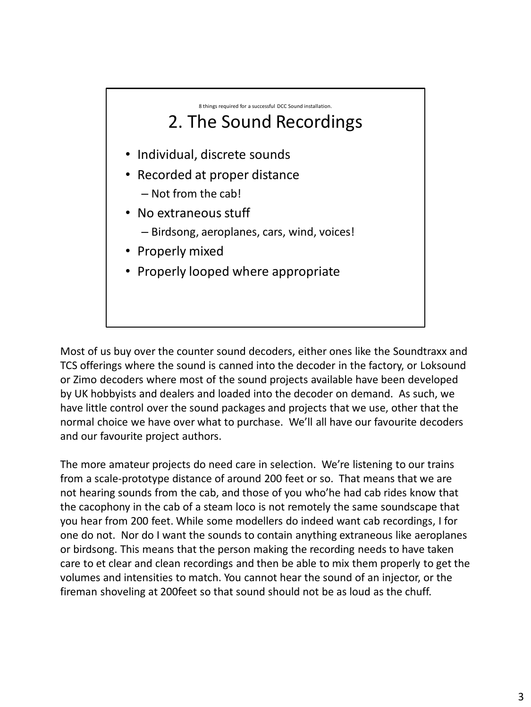

Most of us buy over the counter sound decoders, either ones like the Soundtraxx and TCS offerings where the sound is canned into the decoder in the factory, or Loksound or Zimo decoders where most of the sound projects available have been developed by UK hobbyists and dealers and loaded into the decoder on demand. As such, we have little control over the sound packages and projects that we use, other that the normal choice we have over what to purchase. We'll all have our favourite decoders and our favourite project authors.

The more amateur projects do need care in selection. We're listening to our trains from a scale-prototype distance of around 200 feet or so. That means that we are not hearing sounds from the cab, and those of you who'he had cab rides know that the cacophony in the cab of a steam loco is not remotely the same soundscape that you hear from 200 feet. While some modellers do indeed want cab recordings, I for one do not. Nor do I want the sounds to contain anything extraneous like aeroplanes or birdsong. This means that the person making the recording needs to have taken care to et clear and clean recordings and then be able to mix them properly to get the volumes and intensities to match. You cannot hear the sound of an injector, or the fireman shoveling at 200feet so that sound should not be as loud as the chuff.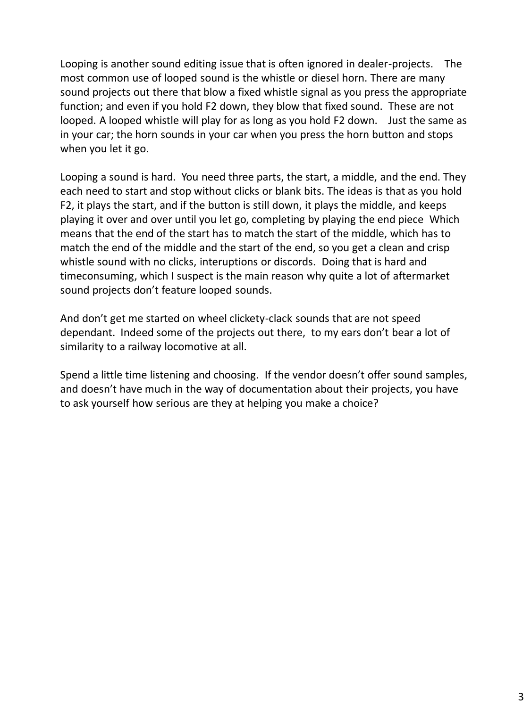Looping is another sound editing issue that is often ignored in dealer-projects. The most common use of looped sound is the whistle or diesel horn. There are many sound projects out there that blow a fixed whistle signal as you press the appropriate function; and even if you hold F2 down, they blow that fixed sound. These are not looped. A looped whistle will play for as long as you hold F2 down. Just the same as in your car; the horn sounds in your car when you press the horn button and stops when you let it go.

Looping a sound is hard. You need three parts, the start, a middle, and the end. They each need to start and stop without clicks or blank bits. The ideas is that as you hold F2, it plays the start, and if the button is still down, it plays the middle, and keeps playing it over and over until you let go, completing by playing the end piece Which means that the end of the start has to match the start of the middle, which has to match the end of the middle and the start of the end, so you get a clean and crisp whistle sound with no clicks, interuptions or discords. Doing that is hard and timeconsuming, which I suspect is the main reason why quite a lot of aftermarket sound projects don't feature looped sounds.

And don't get me started on wheel clickety-clack sounds that are not speed dependant. Indeed some of the projects out there, to my ears don't bear a lot of similarity to a railway locomotive at all.

Spend a little time listening and choosing. If the vendor doesn't offer sound samples, and doesn't have much in the way of documentation about their projects, you have to ask yourself how serious are they at helping you make a choice?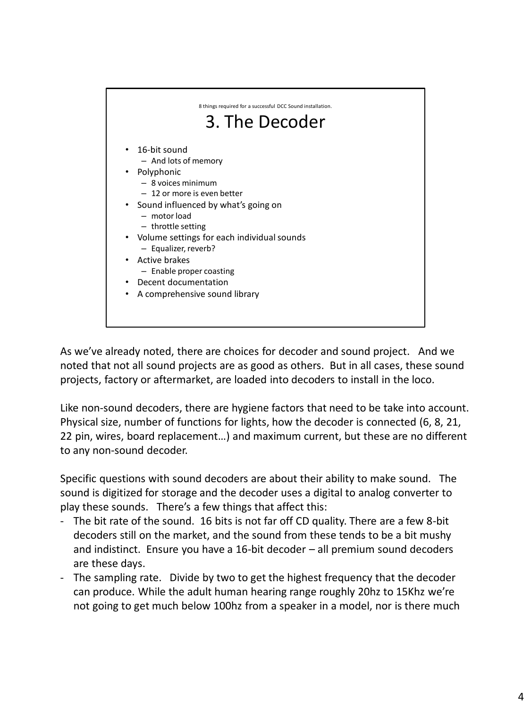

As we've already noted, there are choices for decoder and sound project. And we noted that not all sound projects are as good as others. But in all cases, these sound projects, factory or aftermarket, are loaded into decoders to install in the loco.

Like non-sound decoders, there are hygiene factors that need to be take into account. Physical size, number of functions for lights, how the decoder is connected (6, 8, 21, 22 pin, wires, board replacement…) and maximum current, but these are no different to any non-sound decoder.

Specific questions with sound decoders are about their ability to make sound. The sound is digitized for storage and the decoder uses a digital to analog converter to play these sounds. There's a few things that affect this:

- The bit rate of the sound. 16 bits is not far off CD quality. There are a few 8-bit decoders still on the market, and the sound from these tends to be a bit mushy and indistinct. Ensure you have a 16-bit decoder – all premium sound decoders are these days.
- The sampling rate. Divide by two to get the highest frequency that the decoder can produce. While the adult human hearing range roughly 20hz to 15Khz we're not going to get much below 100hz from a speaker in a model, nor is there much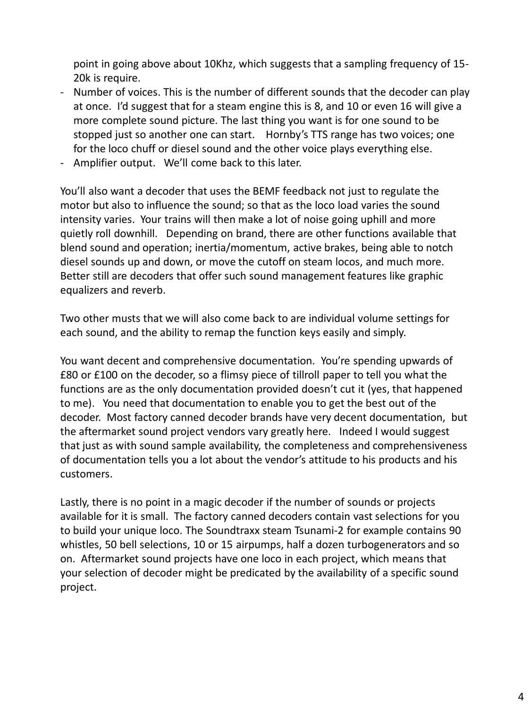point in going above about 10Khz, which suggests that a sampling frequency of 15- 20k is require.

- Number of voices. This is the number of different sounds that the decoder can play at once. I'd suggest that for a steam engine this is 8, and 10 or even 16 will give a more complete sound picture. The last thing you want is for one sound to be stopped just so another one can start. Hornby's TTS range has two voices; one for the loco chuff or diesel sound and the other voice plays everything else.
- Amplifier output. We'll come back to this later.

You'll also want a decoder that uses the BEMF feedback not just to regulate the motor but also to influence the sound; so that as the loco load varies the sound intensity varies. Your trains will then make a lot of noise going uphill and more quietly roll downhill. Depending on brand, there are other functions available that blend sound and operation; inertia/momentum, active brakes, being able to notch diesel sounds up and down, or move the cutoff on steam locos, and much more. Better still are decoders that offer such sound management features like graphic equalizers and reverb.

Two other musts that we will also come back to are individual volume settings for each sound, and the ability to remap the function keys easily and simply.

You want decent and comprehensive documentation. You're spending upwards of £80 or £100 on the decoder, so a flimsy piece of tillroll paper to tell you what the functions are as the only documentation provided doesn't cut it (yes, that happened to me). You need that documentation to enable you to get the best out of the decoder. Most factory canned decoder brands have very decent documentation, but the aftermarket sound project vendors vary greatly here. Indeed I would suggest that just as with sound sample availability, the completeness and comprehensiveness of documentation tells you a lot about the vendor's attitude to his products and his customers.

Lastly, there is no point in a magic decoder if the number of sounds or projects available for it is small. The factory canned decoders contain vast selections for you to build your unique loco. The Soundtraxx steam Tsunami-2 for example contains 90 whistles, 50 bell selections, 10 or 15 airpumps, half a dozen turbogenerators and so on. Aftermarket sound projects have one loco in each project, which means that your selection of decoder might be predicated by the availability of a specific sound project.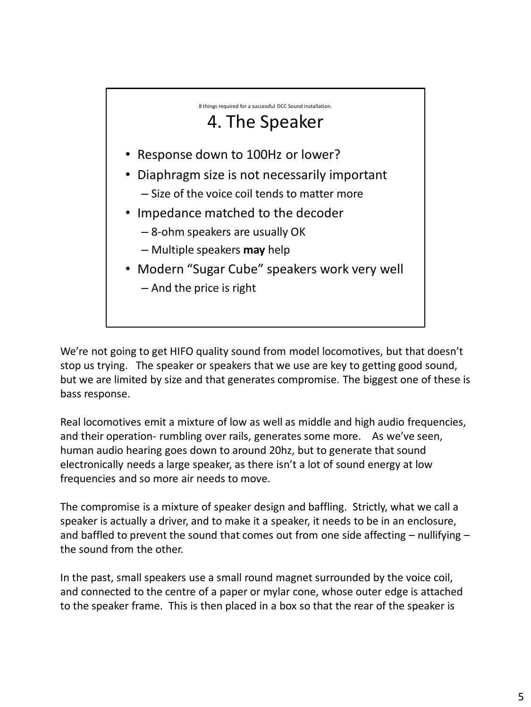

We're not going to get HIFO quality sound from model locomotives, but that doesn't stop us trying. The speaker or speakers that we use are key to getting good sound, but we are limited by size and that generates compromise. The biggest one of these is bass response.

Real locomotives emit a mixture of low as well as middle and high audio frequencies, and their operation- rumbling over rails, generates some more. As we've seen, human audio hearing goes down to around 20hz, but to generate that sound electronically needs a large speaker, as there isn't a lot of sound energy at low frequencies and so more air needs to move.

The compromise is a mixture of speaker design and baffling. Strictly, what we call a speaker is actually a driver, and to make it a speaker, it needs to be in an enclosure, and baffled to prevent the sound that comes out from one side affecting  $-$  nullifying  $$ the sound from the other.

In the past, small speakers use a small round magnet surrounded by the voice coil, and connected to the centre of a paper or mylar cone, whose outer edge is attached to the speaker frame. This is then placed in a box so that the rear of the speaker is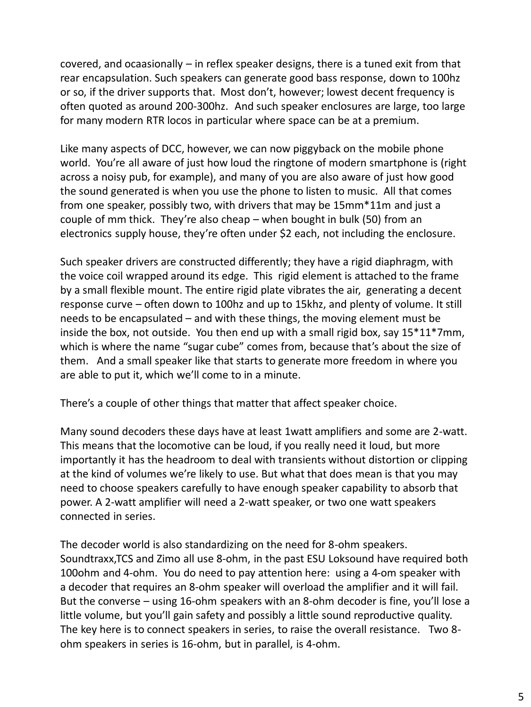covered, and ocaasionally – in reflex speaker designs, there is a tuned exit from that rear encapsulation. Such speakers can generate good bass response, down to 100hz or so, if the driver supports that. Most don't, however; lowest decent frequency is often quoted as around 200-300hz. And such speaker enclosures are large, too large for many modern RTR locos in particular where space can be at a premium.

Like many aspects of DCC, however, we can now piggyback on the mobile phone world. You're all aware of just how loud the ringtone of modern smartphone is (right across a noisy pub, for example), and many of you are also aware of just how good the sound generated is when you use the phone to listen to music. All that comes from one speaker, possibly two, with drivers that may be 15mm\*11m and just a couple of mm thick. They're also cheap – when bought in bulk (50) from an electronics supply house, they're often under \$2 each, not including the enclosure.

Such speaker drivers are constructed differently; they have a rigid diaphragm, with the voice coil wrapped around its edge. This rigid element is attached to the frame by a small flexible mount. The entire rigid plate vibrates the air, generating a decent response curve – often down to 100hz and up to 15khz, and plenty of volume. It still needs to be encapsulated – and with these things, the moving element must be inside the box, not outside. You then end up with a small rigid box, say  $15*11*7mm$ , which is where the name "sugar cube" comes from, because that's about the size of them. And a small speaker like that starts to generate more freedom in where you are able to put it, which we'll come to in a minute.

There's a couple of other things that matter that affect speaker choice.

Many sound decoders these days have at least 1watt amplifiers and some are 2-watt. This means that the locomotive can be loud, if you really need it loud, but more importantly it has the headroom to deal with transients without distortion or clipping at the kind of volumes we're likely to use. But what that does mean is that you may need to choose speakers carefully to have enough speaker capability to absorb that power. A 2-watt amplifier will need a 2-watt speaker, or two one watt speakers connected in series.

The decoder world is also standardizing on the need for 8-ohm speakers. Soundtraxx,TCS and Zimo all use 8-ohm, in the past ESU Loksound have required both 100ohm and 4-ohm. You do need to pay attention here: using a 4-om speaker with a decoder that requires an 8-ohm speaker will overload the amplifier and it will fail. But the converse – using 16-ohm speakers with an 8-ohm decoder is fine, you'll lose a little volume, but you'll gain safety and possibly a little sound reproductive quality. The key here is to connect speakers in series, to raise the overall resistance. Two 8 ohm speakers in series is 16-ohm, but in parallel, is 4-ohm.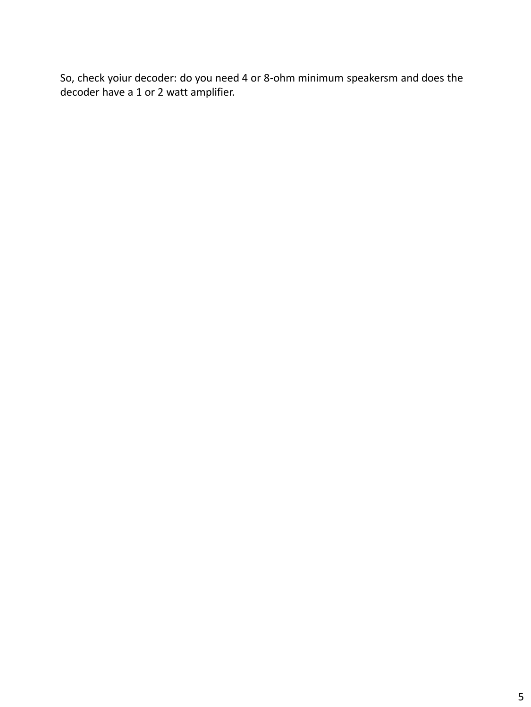So, check yoiur decoder: do you need 4 or 8-ohm minimum speakersm and does the decoder have a 1 or 2 watt amplifier.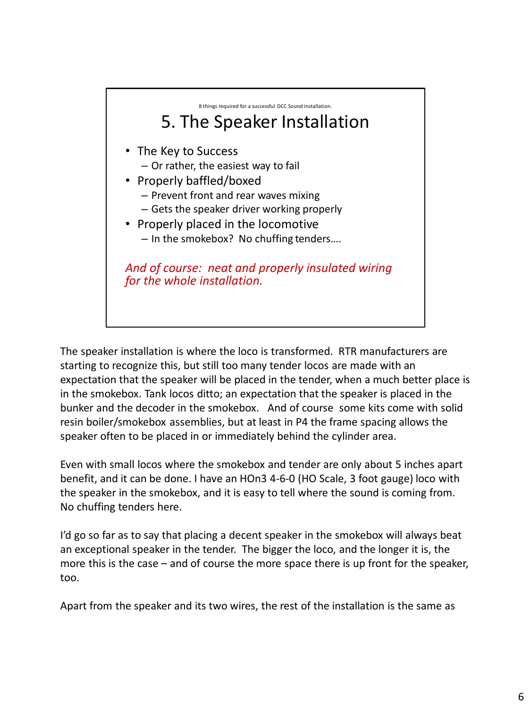

The speaker installation is where the loco is transformed. RTR manufacturers are starting to recognize this, but still too many tender locos are made with an expectation that the speaker will be placed in the tender, when a much better place is in the smokebox. Tank locos ditto; an expectation that the speaker is placed in the bunker and the decoder in the smokebox. And of course some kits come with solid resin boiler/smokebox assemblies, but at least in P4 the frame spacing allows the speaker often to be placed in or immediately behind the cylinder area.

Even with small locos where the smokebox and tender are only about 5 inches apart benefit, and it can be done. I have an HOn3 4-6-0 (HO Scale, 3 foot gauge) loco with the speaker in the smokebox, and it is easy to tell where the sound is coming from. No chuffing tenders here.

I'd go so far as to say that placing a decent speaker in the smokebox will always beat an exceptional speaker in the tender. The bigger the loco, and the longer it is, the more this is the case – and of course the more space there is up front for the speaker, too.

Apart from the speaker and its two wires, the rest of the installation is the same as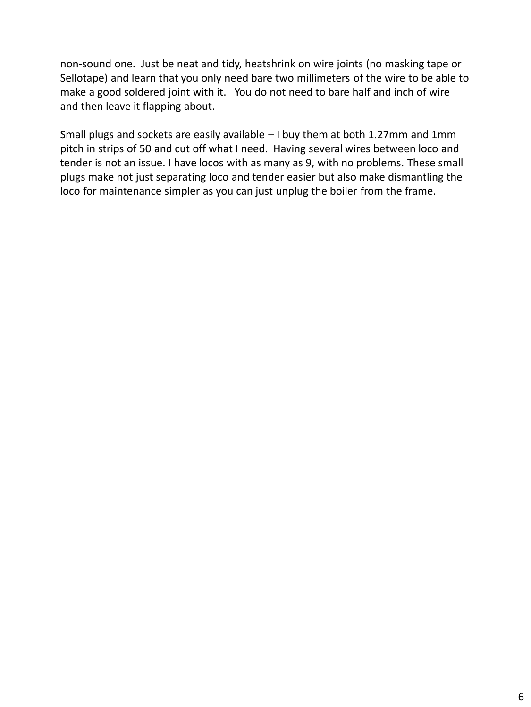non-sound one. Just be neat and tidy, heatshrink on wire joints (no masking tape or Sellotape) and learn that you only need bare two millimeters of the wire to be able to make a good soldered joint with it. You do not need to bare half and inch of wire and then leave it flapping about.

Small plugs and sockets are easily available – I buy them at both 1.27mm and 1mm pitch in strips of 50 and cut off what I need. Having several wires between loco and tender is not an issue. I have locos with as many as 9, with no problems. These small plugs make not just separating loco and tender easier but also make dismantling the loco for maintenance simpler as you can just unplug the boiler from the frame.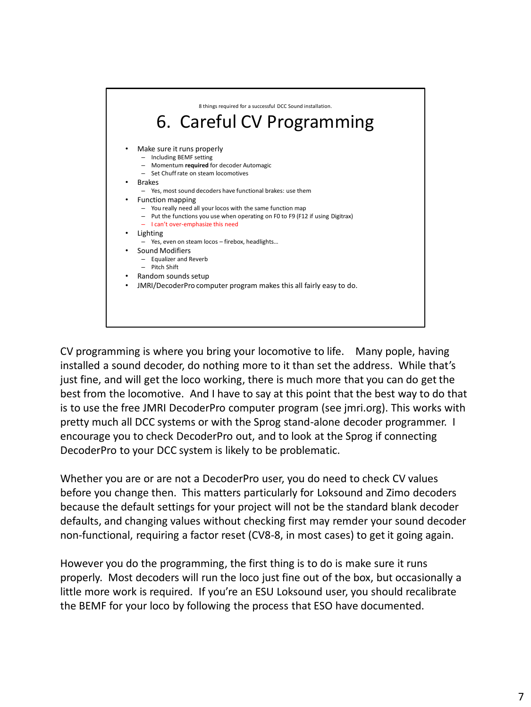

CV programming is where you bring your locomotive to life. Many pople, having installed a sound decoder, do nothing more to it than set the address. While that's just fine, and will get the loco working, there is much more that you can do get the best from the locomotive. And I have to say at this point that the best way to do that is to use the free JMRI DecoderPro computer program (see jmri.org). This works with pretty much all DCC systems or with the Sprog stand-alone decoder programmer. I encourage you to check DecoderPro out, and to look at the Sprog if connecting DecoderPro to your DCC system is likely to be problematic.

Whether you are or are not a DecoderPro user, you do need to check CV values before you change then. This matters particularly for Loksound and Zimo decoders because the default settings for your project will not be the standard blank decoder defaults, and changing values without checking first may remder your sound decoder non-functional, requiring a factor reset (CV8-8, in most cases) to get it going again.

However you do the programming, the first thing is to do is make sure it runs properly. Most decoders will run the loco just fine out of the box, but occasionally a little more work is required. If you're an ESU Loksound user, you should recalibrate the BEMF for your loco by following the process that ESO have documented.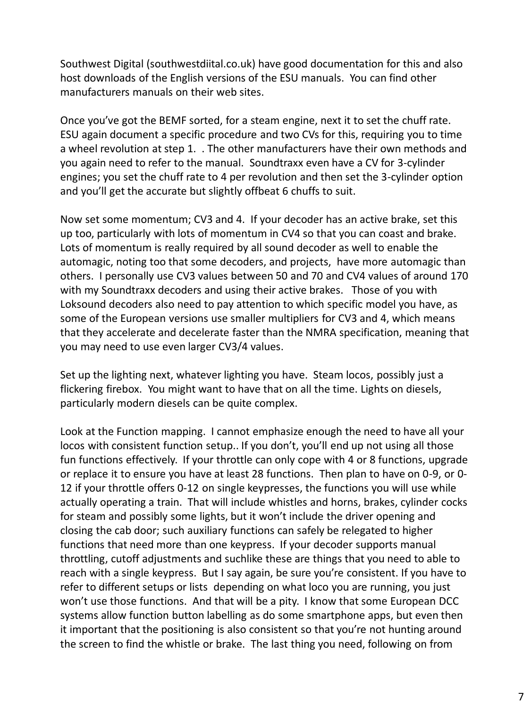Southwest Digital (southwestdiital.co.uk) have good documentation for this and also host downloads of the English versions of the ESU manuals. You can find other manufacturers manuals on their web sites.

Once you've got the BEMF sorted, for a steam engine, next it to set the chuff rate. ESU again document a specific procedure and two CVs for this, requiring you to time a wheel revolution at step 1. . The other manufacturers have their own methods and you again need to refer to the manual. Soundtraxx even have a CV for 3-cylinder engines; you set the chuff rate to 4 per revolution and then set the 3-cylinder option and you'll get the accurate but slightly offbeat 6 chuffs to suit.

Now set some momentum; CV3 and 4. If your decoder has an active brake, set this up too, particularly with lots of momentum in CV4 so that you can coast and brake. Lots of momentum is really required by all sound decoder as well to enable the automagic, noting too that some decoders, and projects, have more automagic than others. I personally use CV3 values between 50 and 70 and CV4 values of around 170 with my Soundtraxx decoders and using their active brakes. Those of you with Loksound decoders also need to pay attention to which specific model you have, as some of the European versions use smaller multipliers for CV3 and 4, which means that they accelerate and decelerate faster than the NMRA specification, meaning that you may need to use even larger CV3/4 values.

Set up the lighting next, whatever lighting you have. Steam locos, possibly just a flickering firebox. You might want to have that on all the time. Lights on diesels, particularly modern diesels can be quite complex.

Look at the Function mapping. I cannot emphasize enough the need to have all your locos with consistent function setup.. If you don't, you'll end up not using all those fun functions effectively. If your throttle can only cope with 4 or 8 functions, upgrade or replace it to ensure you have at least 28 functions. Then plan to have on 0-9, or 0- 12 if your throttle offers 0-12 on single keypresses, the functions you will use while actually operating a train. That will include whistles and horns, brakes, cylinder cocks for steam and possibly some lights, but it won't include the driver opening and closing the cab door; such auxiliary functions can safely be relegated to higher functions that need more than one keypress. If your decoder supports manual throttling, cutoff adjustments and suchlike these are things that you need to able to reach with a single keypress. But I say again, be sure you're consistent. If you have to refer to different setups or lists depending on what loco you are running, you just won't use those functions. And that will be a pity. I know that some European DCC systems allow function button labelling as do some smartphone apps, but even then it important that the positioning is also consistent so that you're not hunting around the screen to find the whistle or brake. The last thing you need, following on from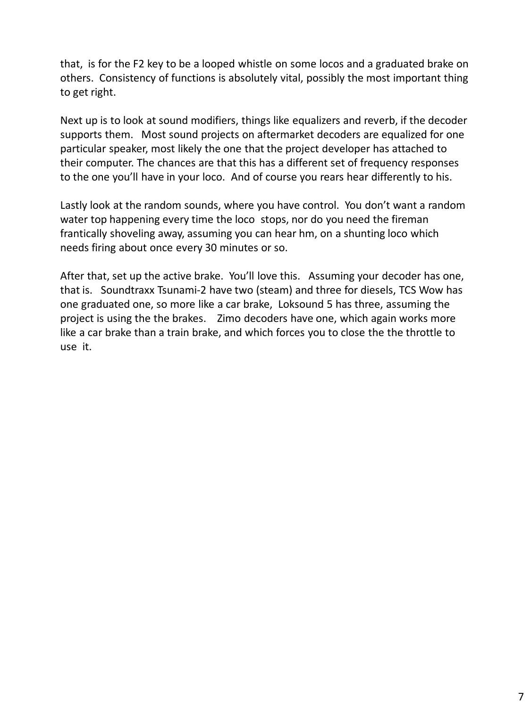that, is for the F2 key to be a looped whistle on some locos and a graduated brake on others. Consistency of functions is absolutely vital, possibly the most important thing to get right.

Next up is to look at sound modifiers, things like equalizers and reverb, if the decoder supports them. Most sound projects on aftermarket decoders are equalized for one particular speaker, most likely the one that the project developer has attached to their computer. The chances are that this has a different set of frequency responses to the one you'll have in your loco. And of course you rears hear differently to his.

Lastly look at the random sounds, where you have control. You don't want a random water top happening every time the loco stops, nor do you need the fireman frantically shoveling away, assuming you can hear hm, on a shunting loco which needs firing about once every 30 minutes or so.

After that, set up the active brake. You'll love this. Assuming your decoder has one, that is. Soundtraxx Tsunami-2 have two (steam) and three for diesels, TCS Wow has one graduated one, so more like a car brake, Loksound 5 has three, assuming the project is using the the brakes. Zimo decoders have one, which again works more like a car brake than a train brake, and which forces you to close the the throttle to use it.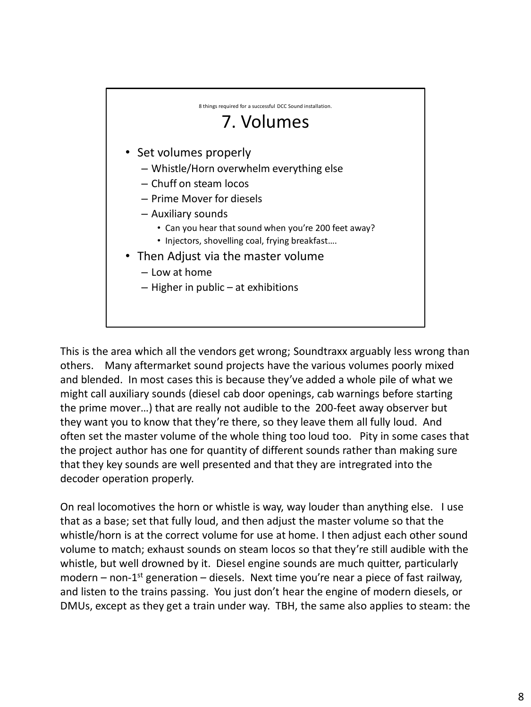

This is the area which all the vendors get wrong; Soundtraxx arguably less wrong than others. Many aftermarket sound projects have the various volumes poorly mixed and blended. In most cases this is because they've added a whole pile of what we might call auxiliary sounds (diesel cab door openings, cab warnings before starting the prime mover…) that are really not audible to the 200-feet away observer but they want you to know that they're there, so they leave them all fully loud. And often set the master volume of the whole thing too loud too. Pity in some cases that the project author has one for quantity of different sounds rather than making sure that they key sounds are well presented and that they are intregrated into the decoder operation properly.

On real locomotives the horn or whistle is way, way louder than anything else. I use that as a base; set that fully loud, and then adjust the master volume so that the whistle/horn is at the correct volume for use at home. I then adjust each other sound volume to match; exhaust sounds on steam locos so that they're still audible with the whistle, but well drowned by it. Diesel engine sounds are much quitter, particularly modern – non-1<sup>st</sup> generation – diesels. Next time you're near a piece of fast railway, and listen to the trains passing. You just don't hear the engine of modern diesels, or DMUs, except as they get a train under way. TBH, the same also applies to steam: the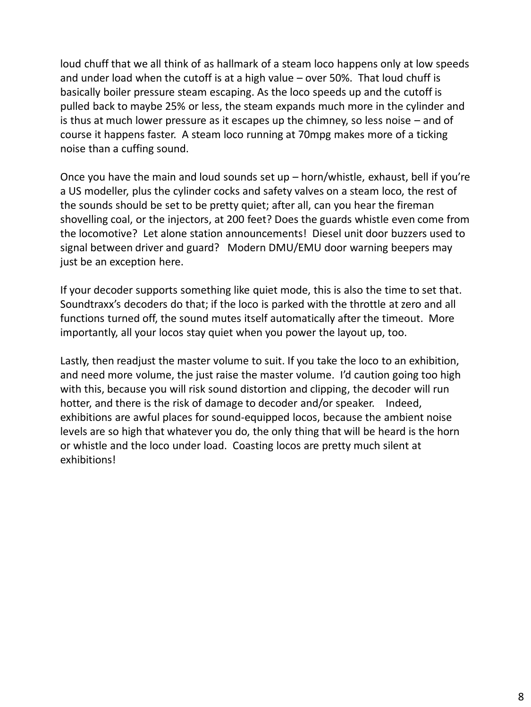loud chuff that we all think of as hallmark of a steam loco happens only at low speeds and under load when the cutoff is at a high value – over 50%. That loud chuff is basically boiler pressure steam escaping. As the loco speeds up and the cutoff is pulled back to maybe 25% or less, the steam expands much more in the cylinder and is thus at much lower pressure as it escapes up the chimney, so less noise – and of course it happens faster. A steam loco running at 70mpg makes more of a ticking noise than a cuffing sound.

Once you have the main and loud sounds set up – horn/whistle, exhaust, bell if you're a US modeller, plus the cylinder cocks and safety valves on a steam loco, the rest of the sounds should be set to be pretty quiet; after all, can you hear the fireman shovelling coal, or the injectors, at 200 feet? Does the guards whistle even come from the locomotive? Let alone station announcements! Diesel unit door buzzers used to signal between driver and guard? Modern DMU/EMU door warning beepers may just be an exception here.

If your decoder supports something like quiet mode, this is also the time to set that. Soundtraxx's decoders do that; if the loco is parked with the throttle at zero and all functions turned off, the sound mutes itself automatically after the timeout. More importantly, all your locos stay quiet when you power the layout up, too.

Lastly, then readjust the master volume to suit. If you take the loco to an exhibition, and need more volume, the just raise the master volume. I'd caution going too high with this, because you will risk sound distortion and clipping, the decoder will run hotter, and there is the risk of damage to decoder and/or speaker. Indeed, exhibitions are awful places for sound-equipped locos, because the ambient noise levels are so high that whatever you do, the only thing that will be heard is the horn or whistle and the loco under load. Coasting locos are pretty much silent at exhibitions!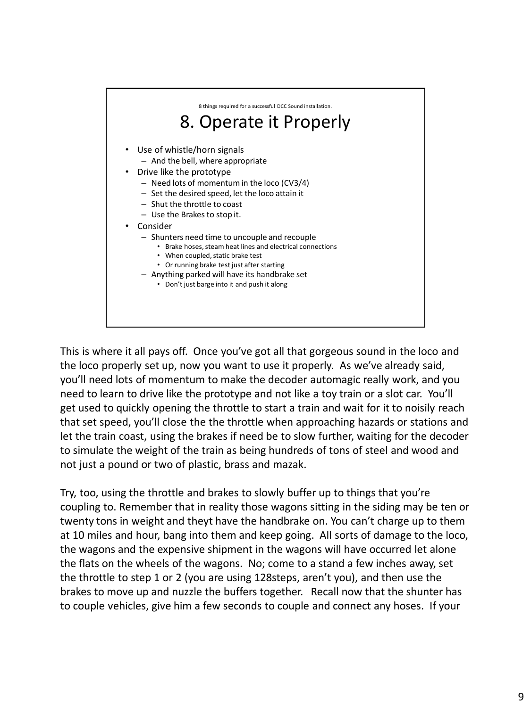

This is where it all pays off. Once you've got all that gorgeous sound in the loco and the loco properly set up, now you want to use it properly. As we've already said, you'll need lots of momentum to make the decoder automagic really work, and you need to learn to drive like the prototype and not like a toy train or a slot car. You'll get used to quickly opening the throttle to start a train and wait for it to noisily reach that set speed, you'll close the the throttle when approaching hazards or stations and let the train coast, using the brakes if need be to slow further, waiting for the decoder to simulate the weight of the train as being hundreds of tons of steel and wood and not just a pound or two of plastic, brass and mazak.

Try, too, using the throttle and brakes to slowly buffer up to things that you're coupling to. Remember that in reality those wagons sitting in the siding may be ten or twenty tons in weight and theyt have the handbrake on. You can't charge up to them at 10 miles and hour, bang into them and keep going. All sorts of damage to the loco, the wagons and the expensive shipment in the wagons will have occurred let alone the flats on the wheels of the wagons. No; come to a stand a few inches away, set the throttle to step 1 or 2 (you are using 128steps, aren't you), and then use the brakes to move up and nuzzle the buffers together. Recall now that the shunter has to couple vehicles, give him a few seconds to couple and connect any hoses. If your